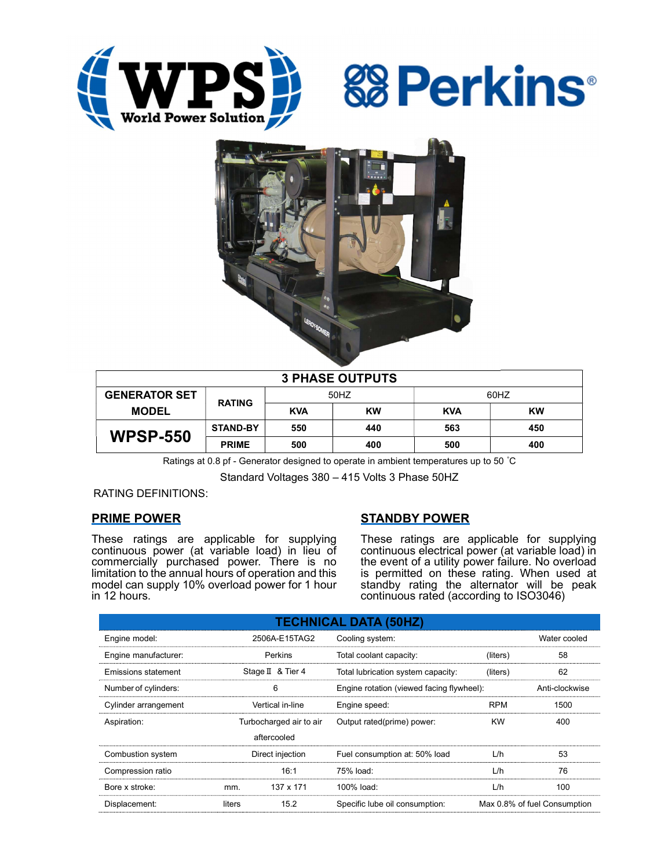





| <b>3 PHASE OUTPUTS</b> |                 |            |           |            |           |  |  |  |
|------------------------|-----------------|------------|-----------|------------|-----------|--|--|--|
| <b>GENERATOR SET</b>   | <b>RATING</b>   | 50HZ       |           | 60HZ       |           |  |  |  |
| <b>MODEL</b>           |                 | <b>KVA</b> | <b>KW</b> | <b>KVA</b> | <b>KW</b> |  |  |  |
| <b>WPSP-550</b>        | <b>STAND-BY</b> | 550        | 440       | 563        | 450       |  |  |  |
|                        | <b>PRIME</b>    | 500        | 400       | 500        | 400       |  |  |  |

Ratings at 0.8 pf - Generator designed to operate in ambient temperatures up to 50 °C

Standard Voltages 380 – 415 Volts 3 Phase 50HZ

RATING DEFINITIONS:

# PRIME POWER

These ratings are applicable for supplying continuous power (at variable load) in lieu of commercially purchased power. There is no limitation to the annual hours of operation and this model can supply 10% overload power for 1 hour in 12 hours.

# STANDBY POWER

These ratings are applicable for supplying continuous electrical power (at variable load) in the event of a utility power failure. No overload is permitted on these rating. When used at standby rating the alternator will be peak continuous rated (according to ISO3046)

| <b>TECHNICAL DATA (50HZ)</b> |                         |           |                                           |              |                              |  |  |  |  |
|------------------------------|-------------------------|-----------|-------------------------------------------|--------------|------------------------------|--|--|--|--|
| Engine model:                | 2506A-E15TAG2           |           | Cooling system:                           | Water cooled |                              |  |  |  |  |
| Engine manufacturer:         | Perkins                 |           | Total coolant capacity:                   | (liters)     | 58                           |  |  |  |  |
| Emissions statement          | Stage II & Tier 4       |           | Total lubrication system capacity:        | (liters)     | 62                           |  |  |  |  |
| Number of cylinders:         | 6                       |           | Engine rotation (viewed facing flywheel): |              | Anti-clockwise               |  |  |  |  |
| Cylinder arrangement         | Vertical in-line        |           | Engine speed:                             | <b>RPM</b>   | 1500                         |  |  |  |  |
| Aspiration:                  | Turbocharged air to air |           | Output rated(prime) power:                | <b>KW</b>    | 400                          |  |  |  |  |
|                              | aftercooled             |           |                                           |              |                              |  |  |  |  |
| Combustion system            | Direct injection        |           | Fuel consumption at: 50% load             | L/h          | 53                           |  |  |  |  |
| Compression ratio            |                         | 16:1      | 75% load:                                 | L/h          | 76                           |  |  |  |  |
| Bore x stroke:               | mm.                     | 137 x 171 | 100% load:                                | L/h          | 100                          |  |  |  |  |
| Displacement:                | liters                  | 15.2      | Specific lube oil consumption:            |              | Max 0.8% of fuel Consumption |  |  |  |  |